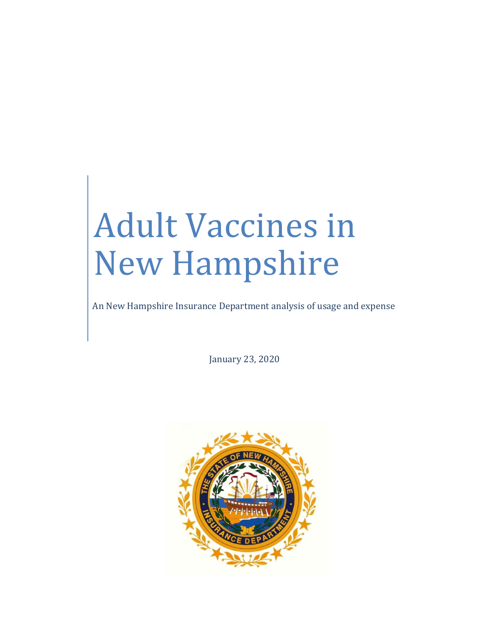# Adult Vaccines in New Hampshire

An New Hampshire Insurance Department analysis of usage and expense

January 23, 2020

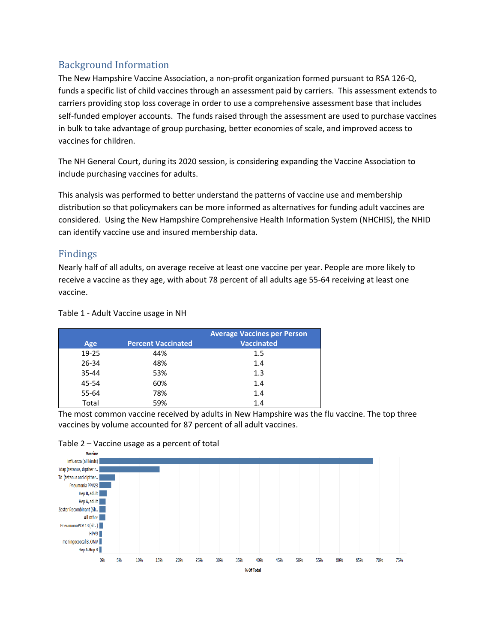# Background Information

The New Hampshire Vaccine Association, a non-profit organization formed pursuant to RSA 126-Q, funds a specific list of child vaccines through an assessment paid by carriers. This assessment extends to carriers providing stop loss coverage in order to use a comprehensive assessment base that includes self-funded employer accounts. The funds raised through the assessment are used to purchase vaccines in bulk to take advantage of group purchasing, better economies of scale, and improved access to vaccines for children.

The NH General Court, during its 2020 session, is considering expanding the Vaccine Association to include purchasing vaccines for adults.

This analysis was performed to better understand the patterns of vaccine use and membership distribution so that policymakers can be more informed as alternatives for funding adult vaccines are considered. Using the New Hampshire Comprehensive Health Information System (NHCHIS), the NHID can identify vaccine use and insured membership data.

# Findings

Nearly half of all adults, on average receive at least one vaccine per year. People are more likely to receive a vaccine as they age, with about 78 percent of all adults age 55-64 receiving at least one vaccine.

Table 1 - Adult Vaccine usage in NH

|       |                           | <b>Average Vaccines per Person</b> |  |  |
|-------|---------------------------|------------------------------------|--|--|
| Age   | <b>Percent Vaccinated</b> | <b>Vaccinated</b>                  |  |  |
| 19-25 | 44%                       | 1.5                                |  |  |
| 26-34 | 48%                       | 1.4                                |  |  |
| 35-44 | 53%                       | 1.3                                |  |  |
| 45-54 | 60%                       | 1.4                                |  |  |
| 55-64 | 78%                       | 1.4                                |  |  |
| Total | 59%                       | 1.4                                |  |  |

The most common vaccine received by adults in New Hampshire was the flu vaccine. The top three vaccines by volume accounted for 87 percent of all adult vaccines.



#### Table 2 – Vaccine usage as a percent of total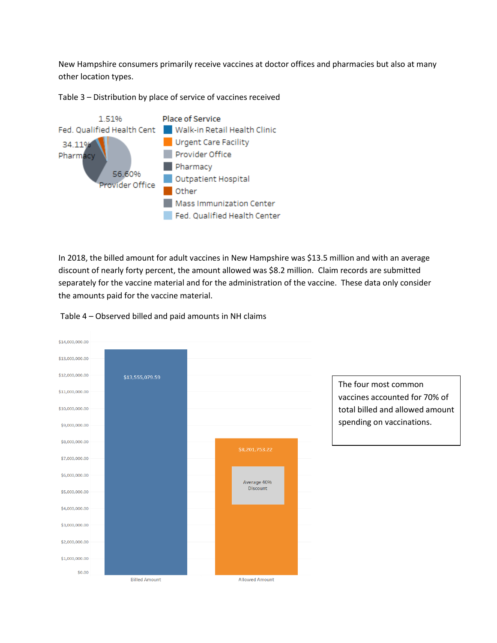New Hampshire consumers primarily receive vaccines at doctor offices and pharmacies but also at many other location types.



Table 3 – Distribution by place of service of vaccines received

In 2018, the billed amount for adult vaccines in New Hampshire was \$13.5 million and with an average discount of nearly forty percent, the amount allowed was \$8.2 million. Claim records are submitted separately for the vaccine material and for the administration of the vaccine. These data only consider the amounts paid for the vaccine material.



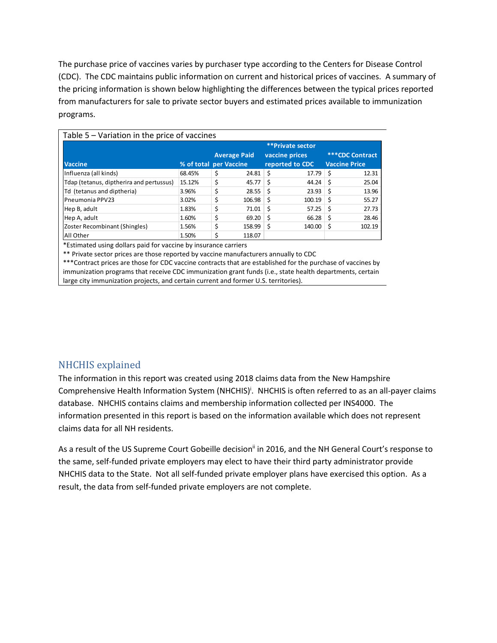The purchase price of vaccines varies by purchaser type according to the Centers for Disease Control (CDC). The CDC maintains public information on current and historical prices of vaccines. A summary of the pricing information is shown below highlighting the differences between the typical prices reported from manufacturers for sale to private sector buyers and estimated prices available to immunization programs.

| Table 5 - Variation in the price of vaccines |                        |    |                |                         |                        |    |                      |  |  |
|----------------------------------------------|------------------------|----|----------------|-------------------------|------------------------|----|----------------------|--|--|
|                                              |                        |    |                | <b>**Private sector</b> |                        |    |                      |  |  |
|                                              | <b>Average Paid</b>    |    | vaccine prices |                         | <b>***CDC Contract</b> |    |                      |  |  |
| <b>Vaccine</b>                               | % of total per Vaccine |    |                |                         | reported to CDC        |    | <b>Vaccine Price</b> |  |  |
| Influenza (all kinds)                        | 68.45%                 | \$ | 24.81          | Ś                       | 17.79                  | Ś  | 12.31                |  |  |
| Tdap (tetanus, diptherira and pertussus)     | 15.12%                 | \$ | 45.77          | Ś                       | 44.24                  | Ŝ  | 25.04                |  |  |
| Td (tetanus and diptheria)                   | 3.96%                  | \$ | 28.55          | Ŝ.                      | 23.93                  | Ś  | 13.96                |  |  |
| Pneumonia PPV23                              | 3.02%                  | \$ | 106.98         | Ś                       | 100.19                 | \$ | 55.27                |  |  |
| Hep B, adult                                 | 1.83%                  | \$ | 71.01          | \$                      | 57.25                  | \$ | 27.73                |  |  |
| Hep A, adult                                 | 1.60%                  | \$ | 69.20          | \$                      | 66.28                  | Ś  | 28.46                |  |  |
| Zoster Recombinant (Shingles)                | 1.56%                  | \$ | 158.99         | \$                      | 140.00                 | \$ | 102.19               |  |  |
| All Other                                    | 1.50%                  | \$ | 118.07         |                         |                        |    |                      |  |  |

\*Estimated using dollars paid for vaccine by insurance carriers

\*\* Private sector prices are those reported by vaccine manufacturers annually to CDC

\*\*\*Contract prices are those for CDC vaccine contracts that are established for the purchase of vaccines by immunization programs that receive CDC immunization grant funds (i.e., state health departments, certain large city immunization projects, and certain current and former U.S. territories).

## NHCHIS explained

The information in this report was created using 2018 claims data from the New Hampshire Comprehensive Health Information System (NHCHIS)<sup>i</sup>. NHCHIS is often referred to as an all-payer claims database. NHCHIS contains claims and membership information collected per INS4000. The information presented in this report is based on the information available which does not represent claims data for all NH residents.

As a result of the US Supreme Court Gobeille decision<sup>ii</sup> in 2016, and the NH General Court's response to the same, self-funded private employers may elect to have their third party administrator provide NHCHIS data to the State. Not all self-funded private employer plans have exercised this option. As a result, the data from self-funded private employers are not complete.